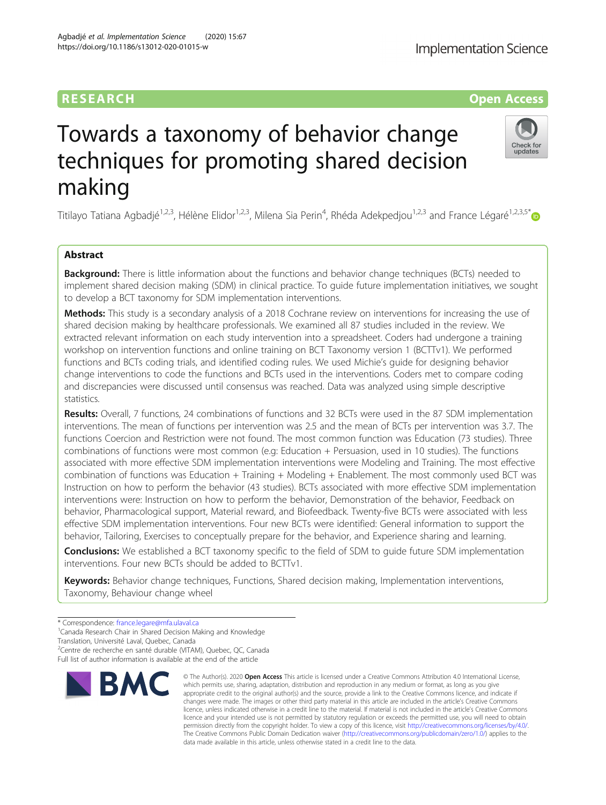## RESEARCH **RESEARCH CONSUMING ACCESS**

# Towards a taxonomy of behavior change techniques for promoting shared decision making

Titilayo Tatiana Agbadjé<sup>1,2,3</sup>, Hélène Elidor<sup>1,2,3</sup>, Milena Sia Perin<sup>4</sup>, Rhéda Adekpedjou<sup>1,2,3</sup> and France Légaré<sup>1,2,3,5[\\*](http://orcid.org/0000-0002-2296-6696)</sup>

## Abstract

**Background:** There is little information about the functions and behavior change techniques (BCTs) needed to implement shared decision making (SDM) in clinical practice. To guide future implementation initiatives, we sought to develop a BCT taxonomy for SDM implementation interventions.

Methods: This study is a secondary analysis of a 2018 Cochrane review on interventions for increasing the use of shared decision making by healthcare professionals. We examined all 87 studies included in the review. We extracted relevant information on each study intervention into a spreadsheet. Coders had undergone a training workshop on intervention functions and online training on BCT Taxonomy version 1 (BCTTv1). We performed functions and BCTs coding trials, and identified coding rules. We used Michie's guide for designing behavior change interventions to code the functions and BCTs used in the interventions. Coders met to compare coding and discrepancies were discussed until consensus was reached. Data was analyzed using simple descriptive statistics.

Results: Overall, 7 functions, 24 combinations of functions and 32 BCTs were used in the 87 SDM implementation interventions. The mean of functions per intervention was 2.5 and the mean of BCTs per intervention was 3.7. The functions Coercion and Restriction were not found. The most common function was Education (73 studies). Three combinations of functions were most common (e.g: Education + Persuasion, used in 10 studies). The functions associated with more effective SDM implementation interventions were Modeling and Training. The most effective combination of functions was Education + Training + Modeling + Enablement. The most commonly used BCT was Instruction on how to perform the behavior (43 studies). BCTs associated with more effective SDM implementation interventions were: Instruction on how to perform the behavior, Demonstration of the behavior, Feedback on behavior, Pharmacological support, Material reward, and Biofeedback. Twenty-five BCTs were associated with less effective SDM implementation interventions. Four new BCTs were identified: General information to support the behavior, Tailoring, Exercises to conceptually prepare for the behavior, and Experience sharing and learning.

**Conclusions:** We established a BCT taxonomy specific to the field of SDM to quide future SDM implementation interventions. Four new BCTs should be added to BCTTv1.

data made available in this article, unless otherwise stated in a credit line to the data.

permission directly from the copyright holder. To view a copy of this licence, visit [http://creativecommons.org/licenses/by/4.0/.](http://creativecommons.org/licenses/by/4.0/) The Creative Commons Public Domain Dedication waiver [\(http://creativecommons.org/publicdomain/zero/1.0/](http://creativecommons.org/publicdomain/zero/1.0/)) applies to the

Keywords: Behavior change techniques, Functions, Shared decision making, Implementation interventions, Taxonomy, Behaviour change wheel

Translation, Université Laval, Quebec, Canada

<sup>2</sup>Centre de recherche en santé durable (VITAM), Quebec, QC, Canada Full list of author information is available at the end of the article







<sup>\*</sup> Correspondence: [france.legare@mfa.ulaval.ca](mailto:france.legare@mfa.ulaval.ca) <sup>1</sup>

<sup>&</sup>lt;sup>1</sup> Canada Research Chair in Shared Decision Making and Knowledge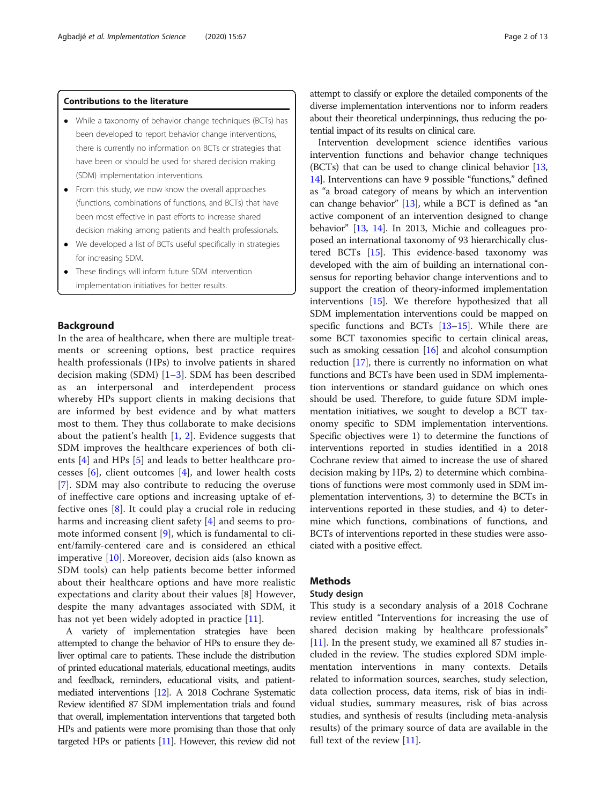### Contributions to the literature

- While a taxonomy of behavior change techniques (BCTs) has been developed to report behavior change interventions, there is currently no information on BCTs or strategies that have been or should be used for shared decision making (SDM) implementation interventions.
- From this study, we now know the overall approaches (functions, combinations of functions, and BCTs) that have been most effective in past efforts to increase shared decision making among patients and health professionals.
- We developed a list of BCTs useful specifically in strategies for increasing SDM.
- These findings will inform future SDM intervention implementation initiatives for better results.

#### Background

In the area of healthcare, when there are multiple treatments or screening options, best practice requires health professionals (HPs) to involve patients in shared decision making  $(SDM)$   $[1-3]$  $[1-3]$  $[1-3]$  $[1-3]$ . SDM has been described as an interpersonal and interdependent process whereby HPs support clients in making decisions that are informed by best evidence and by what matters most to them. They thus collaborate to make decisions about the patient's health  $[1, 2]$  $[1, 2]$  $[1, 2]$ . Evidence suggests that SDM improves the healthcare experiences of both clients [\[4](#page-11-0)] and HPs [[5\]](#page-11-0) and leads to better healthcare processes  $[6]$  $[6]$ , client outcomes  $[4]$  $[4]$ , and lower health costs [[7\]](#page-11-0). SDM may also contribute to reducing the overuse of ineffective care options and increasing uptake of effective ones [[8\]](#page-11-0). It could play a crucial role in reducing harms and increasing client safety [\[4](#page-11-0)] and seems to promote informed consent [\[9](#page-11-0)], which is fundamental to client/family-centered care and is considered an ethical imperative [[10](#page-11-0)]. Moreover, decision aids (also known as SDM tools) can help patients become better informed about their healthcare options and have more realistic expectations and clarity about their values [8] However, despite the many advantages associated with SDM, it has not yet been widely adopted in practice  $[11]$  $[11]$  $[11]$ .

A variety of implementation strategies have been attempted to change the behavior of HPs to ensure they deliver optimal care to patients. These include the distribution of printed educational materials, educational meetings, audits and feedback, reminders, educational visits, and patientmediated interventions [\[12](#page-11-0)]. A 2018 Cochrane Systematic Review identified 87 SDM implementation trials and found that overall, implementation interventions that targeted both HPs and patients were more promising than those that only targeted HPs or patients [[11\]](#page-11-0). However, this review did not attempt to classify or explore the detailed components of the diverse implementation interventions nor to inform readers about their theoretical underpinnings, thus reducing the potential impact of its results on clinical care.

Intervention development science identifies various intervention functions and behavior change techniques (BCTs) that can be used to change clinical behavior [[13](#page-11-0), [14](#page-11-0)]. Interventions can have 9 possible "functions," defined as "a broad category of means by which an intervention can change behavior" [\[13\]](#page-11-0), while a BCT is defined as "an active component of an intervention designed to change behavior" [\[13,](#page-11-0) [14\]](#page-11-0). In 2013, Michie and colleagues proposed an international taxonomy of 93 hierarchically clustered BCTs [\[15\]](#page-11-0). This evidence-based taxonomy was developed with the aim of building an international consensus for reporting behavior change interventions and to support the creation of theory-informed implementation interventions [\[15\]](#page-11-0). We therefore hypothesized that all SDM implementation interventions could be mapped on specific functions and BCTs [\[13](#page-11-0)–[15](#page-11-0)]. While there are some BCT taxonomies specific to certain clinical areas, such as smoking cessation  $[16]$  $[16]$  $[16]$  and alcohol consumption reduction [[17](#page-11-0)], there is currently no information on what functions and BCTs have been used in SDM implementation interventions or standard guidance on which ones should be used. Therefore, to guide future SDM implementation initiatives, we sought to develop a BCT taxonomy specific to SDM implementation interventions. Specific objectives were 1) to determine the functions of interventions reported in studies identified in a 2018 Cochrane review that aimed to increase the use of shared decision making by HPs, 2) to determine which combinations of functions were most commonly used in SDM implementation interventions, 3) to determine the BCTs in interventions reported in these studies, and 4) to determine which functions, combinations of functions, and BCTs of interventions reported in these studies were associated with a positive effect.

## **Methods**

#### Study design

This study is a secondary analysis of a 2018 Cochrane review entitled "Interventions for increasing the use of shared decision making by healthcare professionals" [[11\]](#page-11-0). In the present study, we examined all 87 studies included in the review. The studies explored SDM implementation interventions in many contexts. Details related to information sources, searches, study selection, data collection process, data items, risk of bias in individual studies, summary measures, risk of bias across studies, and synthesis of results (including meta-analysis results) of the primary source of data are available in the full text of the review [[11](#page-11-0)].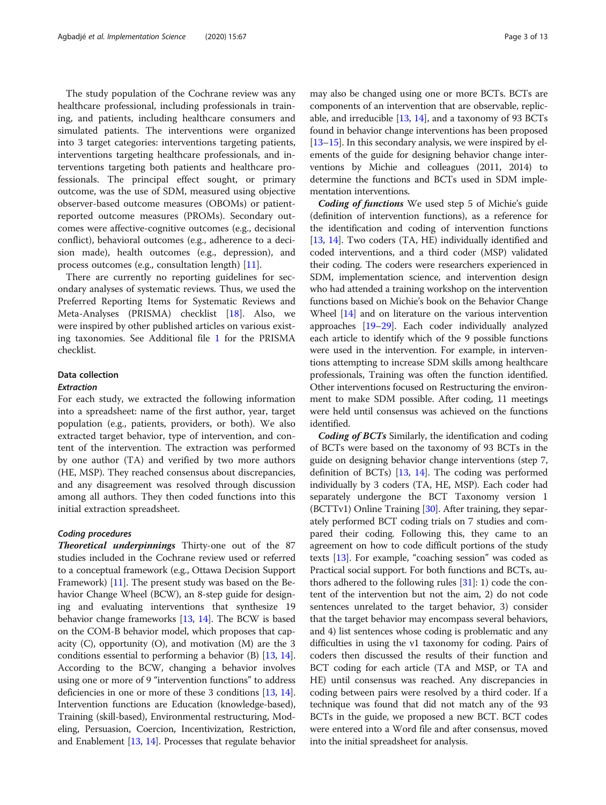The study population of the Cochrane review was any healthcare professional, including professionals in training, and patients, including healthcare consumers and simulated patients. The interventions were organized into 3 target categories: interventions targeting patients, interventions targeting healthcare professionals, and interventions targeting both patients and healthcare professionals. The principal effect sought, or primary outcome, was the use of SDM, measured using objective observer-based outcome measures (OBOMs) or patientreported outcome measures (PROMs). Secondary outcomes were affective-cognitive outcomes (e.g., decisional conflict), behavioral outcomes (e.g., adherence to a decision made), health outcomes (e.g., depression), and process outcomes (e.g., consultation length) [\[11](#page-11-0)].

There are currently no reporting guidelines for secondary analyses of systematic reviews. Thus, we used the Preferred Reporting Items for Systematic Reviews and Meta-Analyses (PRISMA) checklist [\[18](#page-11-0)]. Also, we were inspired by other published articles on various existing taxonomies. See Additional file [1](#page-11-0) for the PRISMA checklist.

## Data collection

#### Extraction

For each study, we extracted the following information into a spreadsheet: name of the first author, year, target population (e.g., patients, providers, or both). We also extracted target behavior, type of intervention, and content of the intervention. The extraction was performed by one author (TA) and verified by two more authors (HE, MSP). They reached consensus about discrepancies, and any disagreement was resolved through discussion among all authors. They then coded functions into this initial extraction spreadsheet.

#### Coding procedures

Theoretical underpinnings Thirty-one out of the 87 studies included in the Cochrane review used or referred to a conceptual framework (e.g., Ottawa Decision Support Framework) [\[11\]](#page-11-0). The present study was based on the Behavior Change Wheel (BCW), an 8-step guide for designing and evaluating interventions that synthesize 19 behavior change frameworks [[13](#page-11-0), [14\]](#page-11-0). The BCW is based on the COM-B behavior model, which proposes that capacity (C), opportunity (O), and motivation (M) are the 3 conditions essential to performing a behavior (B) [[13](#page-11-0), [14](#page-11-0)]. According to the BCW, changing a behavior involves using one or more of 9 "intervention functions" to address deficiencies in one or more of these 3 conditions [[13](#page-11-0), [14](#page-11-0)]. Intervention functions are Education (knowledge-based), Training (skill-based), Environmental restructuring, Modeling, Persuasion, Coercion, Incentivization, Restriction, and Enablement [\[13](#page-11-0), [14\]](#page-11-0). Processes that regulate behavior may also be changed using one or more BCTs. BCTs are components of an intervention that are observable, replicable, and irreducible [\[13](#page-11-0), [14\]](#page-11-0), and a taxonomy of 93 BCTs found in behavior change interventions has been proposed [[13](#page-11-0)–[15\]](#page-11-0). In this secondary analysis, we were inspired by elements of the guide for designing behavior change interventions by Michie and colleagues (2011, 2014) to determine the functions and BCTs used in SDM implementation interventions.

Coding of functions We used step 5 of Michie's guide (definition of intervention functions), as a reference for the identification and coding of intervention functions [[13](#page-11-0), [14\]](#page-11-0). Two coders (TA, HE) individually identified and coded interventions, and a third coder (MSP) validated their coding. The coders were researchers experienced in SDM, implementation science, and intervention design who had attended a training workshop on the intervention functions based on Michie's book on the Behavior Change Wheel [[14](#page-11-0)] and on literature on the various intervention approaches [\[19](#page-11-0)–[29\]](#page-11-0). Each coder individually analyzed each article to identify which of the 9 possible functions were used in the intervention. For example, in interventions attempting to increase SDM skills among healthcare professionals, Training was often the function identified. Other interventions focused on Restructuring the environment to make SDM possible. After coding, 11 meetings were held until consensus was achieved on the functions identified.

Coding of BCTs Similarly, the identification and coding of BCTs were based on the taxonomy of 93 BCTs in the guide on designing behavior change interventions (step 7, definition of BCTs) [[13](#page-11-0), [14](#page-11-0)]. The coding was performed individually by 3 coders (TA, HE, MSP). Each coder had separately undergone the BCT Taxonomy version 1 (BCTTv1) Online Training [\[30\]](#page-12-0). After training, they separately performed BCT coding trials on 7 studies and compared their coding. Following this, they came to an agreement on how to code difficult portions of the study texts [[13](#page-11-0)]. For example, "coaching session" was coded as Practical social support. For both functions and BCTs, authors adhered to the following rules  $[31]$  $[31]$  $[31]$ : 1) code the content of the intervention but not the aim, 2) do not code sentences unrelated to the target behavior, 3) consider that the target behavior may encompass several behaviors, and 4) list sentences whose coding is problematic and any difficulties in using the v1 taxonomy for coding. Pairs of coders then discussed the results of their function and BCT coding for each article (TA and MSP, or TA and HE) until consensus was reached. Any discrepancies in coding between pairs were resolved by a third coder. If a technique was found that did not match any of the 93 BCTs in the guide, we proposed a new BCT. BCT codes were entered into a Word file and after consensus, moved into the initial spreadsheet for analysis.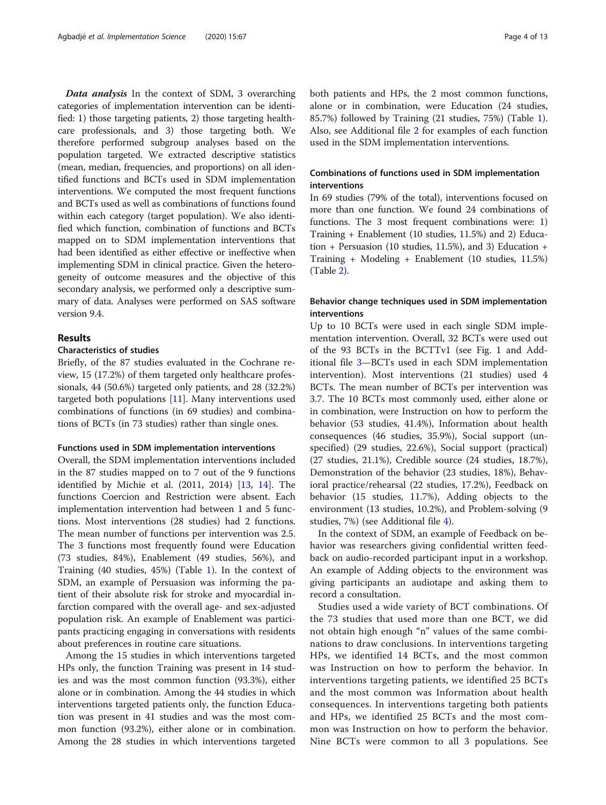Data analysis In the context of SDM, 3 overarching categories of implementation intervention can be identified: 1) those targeting patients, 2) those targeting healthcare professionals, and 3) those targeting both. We therefore performed subgroup analyses based on the population targeted. We extracted descriptive statistics (mean, median, frequencies, and proportions) on all identified functions and BCTs used in SDM implementation interventions. We computed the most frequent functions and BCTs used as well as combinations of functions found within each category (target population). We also identified which function, combination of functions and BCTs mapped on to SDM implementation interventions that had been identified as either effective or ineffective when implementing SDM in clinical practice. Given the heterogeneity of outcome measures and the objective of this secondary analysis, we performed only a descriptive summary of data. Analyses were performed on SAS software version 9.4.

## Results

## Characteristics of studies

Briefly, of the 87 studies evaluated in the Cochrane review, 15 (17.2%) of them targeted only healthcare professionals, 44 (50.6%) targeted only patients, and 28 (32.2%) targeted both populations [[11](#page-11-0)]. Many interventions used combinations of functions (in 69 studies) and combinations of BCTs (in 73 studies) rather than single ones.

#### Functions used in SDM implementation interventions

Overall, the SDM implementation interventions included in the 87 studies mapped on to 7 out of the 9 functions identified by Michie et al. (2011, 2014) [[13,](#page-11-0) [14\]](#page-11-0). The functions Coercion and Restriction were absent. Each implementation intervention had between 1 and 5 functions. Most interventions (28 studies) had 2 functions. The mean number of functions per intervention was 2.5. The 3 functions most frequently found were Education (73 studies, 84%), Enablement (49 studies, 56%), and Training (40 studies, 45%) (Table [1\)](#page-4-0). In the context of SDM, an example of Persuasion was informing the patient of their absolute risk for stroke and myocardial infarction compared with the overall age- and sex-adjusted population risk. An example of Enablement was participants practicing engaging in conversations with residents about preferences in routine care situations.

Among the 15 studies in which interventions targeted HPs only, the function Training was present in 14 studies and was the most common function (93.3%), either alone or in combination. Among the 44 studies in which interventions targeted patients only, the function Education was present in 41 studies and was the most common function (93.2%), either alone or in combination. Among the 28 studies in which interventions targeted both patients and HPs, the 2 most common functions, alone or in combination, were Education (24 studies, 85.7%) followed by Training (21 studies, 75%) (Table [1](#page-4-0)). Also, see Additional file [2](#page-11-0) for examples of each function used in the SDM implementation interventions.

## Combinations of functions used in SDM implementation interventions

In 69 studies (79% of the total), interventions focused on more than one function. We found 24 combinations of functions. The 3 most frequent combinations were: 1) Training + Enablement (10 studies, 11.5%) and 2) Education + Persuasion (10 studies,  $11.5\%$ ), and 3) Education + Training + Modeling + Enablement (10 studies, 11.5%) (Table [2\)](#page-5-0).

## Behavior change techniques used in SDM implementation interventions

Up to 10 BCTs were used in each single SDM implementation intervention. Overall, 32 BCTs were used out of the 93 BCTs in the BCTTv1 (see Fig. [1](#page-6-0) and Additional file [3](#page-11-0)—BCTs used in each SDM implementation intervention). Most interventions (21 studies) used 4 BCTs. The mean number of BCTs per intervention was 3.7. The 10 BCTs most commonly used, either alone or in combination, were Instruction on how to perform the behavior (53 studies, 41.4%), Information about health consequences (46 studies, 35.9%), Social support (unspecified) (29 studies, 22.6%), Social support (practical) (27 studies, 21.1%), Credible source (24 studies, 18.7%), Demonstration of the behavior (23 studies, 18%), Behavioral practice/rehearsal (22 studies, 17.2%), Feedback on behavior (15 studies, 11.7%), Adding objects to the environment (13 studies, 10.2%), and Problem-solving (9 studies, 7%) (see Additional file [4\)](#page-11-0).

In the context of SDM, an example of Feedback on behavior was researchers giving confidential written feedback on audio-recorded participant input in a workshop. An example of Adding objects to the environment was giving participants an audiotape and asking them to record a consultation.

Studies used a wide variety of BCT combinations. Of the 73 studies that used more than one BCT, we did not obtain high enough "n" values of the same combinations to draw conclusions. In interventions targeting HPs, we identified 14 BCTs, and the most common was Instruction on how to perform the behavior. In interventions targeting patients, we identified 25 BCTs and the most common was Information about health consequences. In interventions targeting both patients and HPs, we identified 25 BCTs and the most common was Instruction on how to perform the behavior. Nine BCTs were common to all 3 populations. See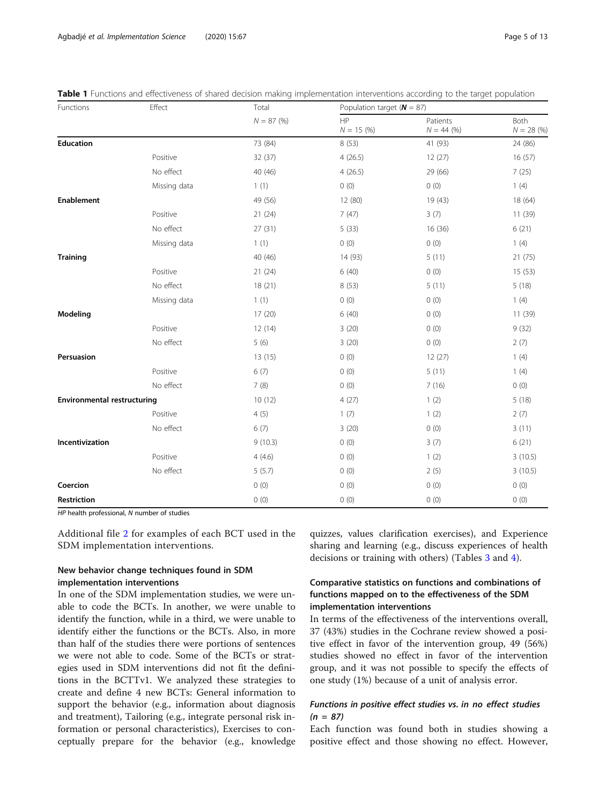| Functions                          | Effect       | Total       | Population target ( $N = 87$ ) |                          |                     |  |  |
|------------------------------------|--------------|-------------|--------------------------------|--------------------------|---------------------|--|--|
|                                    |              | $N = 87(%)$ | HP<br>$N = 15 (%)$             | Patients<br>$N = 44 (%)$ | Both<br>$N = 28(%)$ |  |  |
| Education                          |              | 73 (84)     | 8 (53)                         | 41 (93)                  | 24 (86)             |  |  |
|                                    | Positive     | 32 (37)     | 4(26.5)                        | 12(27)                   | 16 (57)             |  |  |
|                                    | No effect    | 40 (46)     | 4(26.5)                        | 29 (66)                  | 7(25)               |  |  |
|                                    | Missing data | 1(1)        | 0(0)                           | 0(0)                     | 1(4)                |  |  |
| Enablement                         |              | 49 (56)     | 12 (80)                        | 19 (43)                  | 18 (64)             |  |  |
|                                    | Positive     | 21(24)      | 7(47)                          | 3(7)                     | 11 (39)             |  |  |
|                                    | No effect    | 27(31)      | 5(33)                          | 16(36)                   | 6(21)               |  |  |
|                                    | Missing data | 1(1)        | 0(0)                           | 0(0)                     | 1(4)                |  |  |
| <b>Training</b>                    |              | 40 (46)     | 14 (93)                        | 5(11)                    | 21(75)              |  |  |
|                                    | Positive     | 21(24)      | 6(40)                          | 0(0)                     | 15(53)              |  |  |
|                                    | No effect    | 18(21)      | 8(53)                          | 5(11)                    | 5(18)               |  |  |
|                                    | Missing data | 1(1)        | 0(0)                           | 0(0)                     | 1(4)                |  |  |
| Modeling                           |              | 17(20)      | 6(40)                          | 0(0)                     | 11(39)              |  |  |
|                                    | Positive     | 12(14)      | 3(20)                          | 0(0)                     | 9(32)               |  |  |
|                                    | No effect    | 5(6)        | 3(20)                          | 0(0)                     | 2(7)                |  |  |
| Persuasion                         |              | 13(15)      | 0(0)                           | 12(27)                   | 1(4)                |  |  |
|                                    | Positive     | 6(7)        | 0(0)                           | 5(11)                    | 1(4)                |  |  |
|                                    | No effect    | 7(8)        | 0(0)                           | 7(16)                    | 0(0)                |  |  |
| <b>Environmental restructuring</b> |              | 10(12)      | 4(27)                          | 1(2)                     | 5(18)               |  |  |
|                                    | Positive     | 4(5)        | 1(7)                           | 1(2)                     | 2(7)                |  |  |
|                                    | No effect    | 6(7)        | 3(20)                          | 0(0)                     | 3(11)               |  |  |
| Incentivization                    |              | 9(10.3)     | 0(0)                           | 3(7)                     | 6(21)               |  |  |
|                                    | Positive     | 4(4.6)      | 0(0)                           | 1(2)                     | 3(10.5)             |  |  |
|                                    | No effect    | 5(5.7)      | 0(0)                           | 2(5)                     | 3(10.5)             |  |  |
| Coercion                           |              | 0(0)        | 0(0)                           | 0(0)                     | 0(0)                |  |  |
| Restriction                        |              | 0(0)        | 0(0)                           | 0(0)                     | 0(0)                |  |  |

<span id="page-4-0"></span>

| Table 1 Functions and effectiveness of shared decision making implementation interventions according to the target populatior |  |  |  |
|-------------------------------------------------------------------------------------------------------------------------------|--|--|--|
|-------------------------------------------------------------------------------------------------------------------------------|--|--|--|

HP health professional, N number of studies

Additional file [2](#page-11-0) for examples of each BCT used in the SDM implementation interventions.

## New behavior change techniques found in SDM implementation interventions

In one of the SDM implementation studies, we were unable to code the BCTs. In another, we were unable to identify the function, while in a third, we were unable to identify either the functions or the BCTs. Also, in more than half of the studies there were portions of sentences we were not able to code. Some of the BCTs or strategies used in SDM interventions did not fit the definitions in the BCTTv1. We analyzed these strategies to create and define 4 new BCTs: General information to support the behavior (e.g., information about diagnosis and treatment), Tailoring (e.g., integrate personal risk information or personal characteristics), Exercises to conceptually prepare for the behavior (e.g., knowledge quizzes, values clarification exercises), and Experience sharing and learning (e.g., discuss experiences of health decisions or training with others) (Tables [3](#page-7-0) and [4\)](#page-9-0).

## Comparative statistics on functions and combinations of functions mapped on to the effectiveness of the SDM implementation interventions

In terms of the effectiveness of the interventions overall, 37 (43%) studies in the Cochrane review showed a positive effect in favor of the intervention group, 49 (56%) studies showed no effect in favor of the intervention group, and it was not possible to specify the effects of one study (1%) because of a unit of analysis error.

## Functions in positive effect studies vs. in no effect studies  $(n = 87)$

Each function was found both in studies showing a positive effect and those showing no effect. However,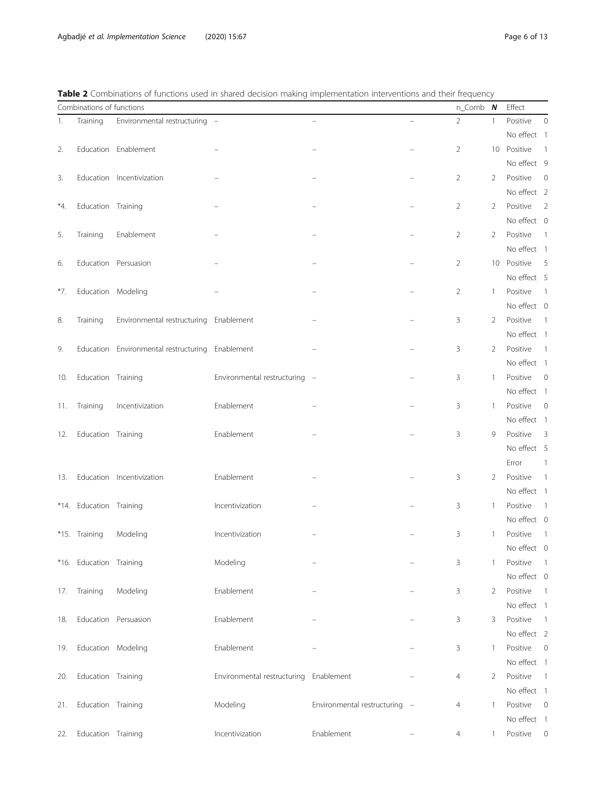<span id="page-5-0"></span>

| Table 2 Combinations of functions used in shared decision making implementation interventions and their frequency |  |
|-------------------------------------------------------------------------------------------------------------------|--|
|-------------------------------------------------------------------------------------------------------------------|--|

|     | Combinations of functions |                                        |                                        |                               |   | $n$ _Comb $N$  |              | Effect                  |                |
|-----|---------------------------|----------------------------------------|----------------------------------------|-------------------------------|---|----------------|--------------|-------------------------|----------------|
| 1.  | Training                  | Environmental restructuring -          |                                        | $\overline{\phantom{m}}$      | ÷ | $\overline{2}$ | 1            | Positive                | $\mathbf 0$    |
|     |                           |                                        |                                        |                               |   |                |              | No effect 1             |                |
| 2.  |                           | Education Enablement                   |                                        |                               |   | $\overline{2}$ | 10           | Positive                | $\overline{1}$ |
|     |                           |                                        |                                        |                               |   |                |              | No effect 9             |                |
| 3.  |                           | Education Incentivization              |                                        |                               |   | $\overline{2}$ | 2            | Positive                | $\mathbf 0$    |
|     |                           |                                        |                                        |                               |   |                |              | No effect 2             |                |
| *4. | Education Training        |                                        |                                        |                               |   | 2              | 2            | Positive                | $\overline{2}$ |
|     |                           |                                        |                                        |                               |   |                |              | No effect 0             |                |
| 5.  | Training                  | Enablement                             |                                        |                               |   | 2              | 2            | Positive                | $\overline{1}$ |
|     |                           |                                        |                                        |                               |   |                |              | No effect 1             |                |
| 6.  |                           | Education Persuasion                   |                                        |                               |   | $\overline{2}$ | 10           | Positive                | 5              |
|     |                           |                                        |                                        |                               |   |                |              | No effect 5             |                |
| *7. | Education Modeling        |                                        |                                        |                               |   | 2              | 1            | Positive                | $\overline{1}$ |
|     |                           |                                        |                                        |                               |   |                |              | No effect 0             |                |
| 8.  | Training                  | Environmental restructuring Enablement |                                        |                               |   | 3              | 2            | Positive                | $\overline{1}$ |
|     |                           |                                        |                                        |                               |   |                |              | No effect 1             |                |
| 9.  |                           | Education Environmental restructuring  | Enablement                             |                               |   | 3              | 2            | Positive                | $\overline{1}$ |
|     |                           |                                        |                                        |                               |   |                |              | No effect 1             |                |
| 10. | Education Training        |                                        | Environmental restructuring -          |                               |   | 3              | $\mathbf{1}$ | Positive                | $\mathbf 0$    |
|     |                           |                                        |                                        |                               |   |                |              | No effect 1             |                |
| 11. | Training                  | Incentivization                        | Enablement                             |                               |   | 3              | -1           | Positive                | $\mathbf 0$    |
|     |                           |                                        |                                        |                               |   |                |              | No effect 1             |                |
| 12. | Education Training        |                                        | Enablement                             |                               |   | 3              | 9            | Positive                | 3              |
|     |                           |                                        |                                        |                               |   |                |              | No effect 5             |                |
|     |                           |                                        |                                        |                               |   |                |              | Error                   | 1              |
| 13. |                           | Education Incentivization              | Enablement                             |                               |   | 3              | 2            | Positive                | $\overline{1}$ |
|     |                           |                                        |                                        |                               |   |                |              | No effect 1             |                |
|     | *14. Education Training   |                                        | Incentivization                        |                               |   | 3              | $\mathbf{1}$ | Positive                | $\overline{1}$ |
|     |                           |                                        |                                        |                               |   |                |              | No effect 0             |                |
|     | *15. Training             | Modeling                               | Incentivization                        |                               |   | 3              | 1            | Positive                | $\overline{1}$ |
|     |                           |                                        |                                        |                               |   |                |              | No effect 0             |                |
|     | *16. Education Training   |                                        | Modeling                               |                               |   | 3              | $\mathbf{1}$ | Positive                | $\overline{1}$ |
|     |                           |                                        |                                        |                               |   |                |              | No effect 0             |                |
|     | 17. Training              | Modeling                               | Enablement                             |                               |   | 3              | 2            | Positive                | $\overline{1}$ |
|     |                           |                                        |                                        |                               |   |                |              | No effect 1             |                |
| 18. |                           | Education Persuasion                   | Enablement                             |                               |   | 3              | 3            | Positive                | $\overline{1}$ |
|     |                           |                                        | Enablement                             |                               |   |                |              | No effect 2             |                |
| 19. | Education Modeling        |                                        |                                        |                               |   | 3              | 1            | Positive<br>No effect 1 | $\overline{0}$ |
|     |                           |                                        |                                        |                               |   |                |              |                         |                |
| 20. | Education Training        |                                        | Environmental restructuring Enablement |                               |   | $\overline{4}$ | 2            | Positive<br>No effect 1 | $\overline{1}$ |
|     | Education Training        |                                        | Modeling                               | Environmental restructuring - |   |                |              | Positive                | $\overline{0}$ |
| 21. |                           |                                        |                                        |                               |   | 4              | -1           | No effect 1             |                |
| 22. | Education Training        |                                        | Incentivization                        | Enablement                    |   | 4              | 1            | Positive                | $\mathbf 0$    |
|     |                           |                                        |                                        |                               |   |                |              |                         |                |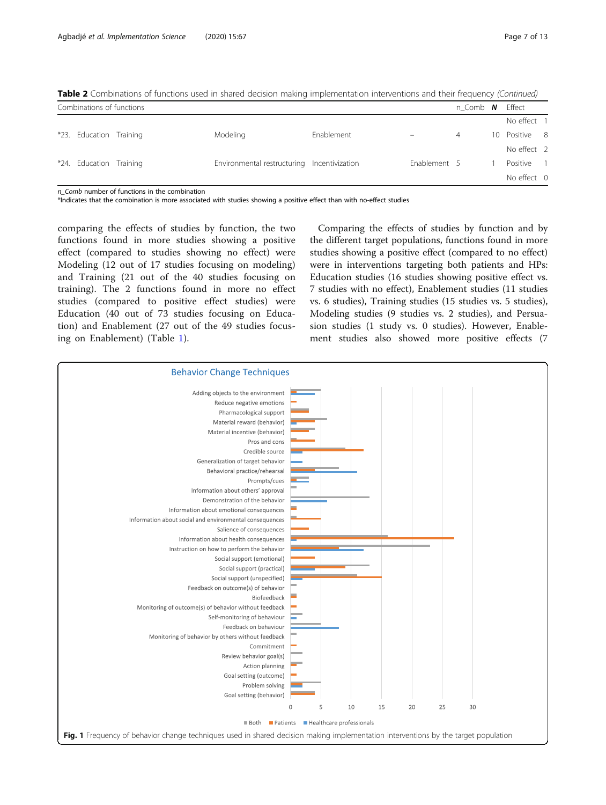| Combinations of functions |                                             |            |              | n Comb $N$ Effect |               |  |
|---------------------------|---------------------------------------------|------------|--------------|-------------------|---------------|--|
|                           |                                             |            |              |                   | No effect 1   |  |
| *23. Education Training   | Modeling                                    | Enablement |              | $\overline{4}$    | 10 Positive 8 |  |
|                           |                                             |            |              |                   | No effect 2   |  |
| *24. Education Training   | Environmental restructuring Incentivization |            | Enablement 5 |                   | Positive 1    |  |
|                           |                                             |            |              |                   | No effect 0   |  |

<span id="page-6-0"></span>Table 2 Combinations of functions used in shared decision making implementation interventions and their frequency (Continued)

n. Comb number of functions in the combination

\*Indicates that the combination is more associated with studies showing a positive effect than with no-effect studies

comparing the effects of studies by function, the two functions found in more studies showing a positive effect (compared to studies showing no effect) were Modeling (12 out of 17 studies focusing on modeling) and Training (21 out of the 40 studies focusing on training). The 2 functions found in more no effect studies (compared to positive effect studies) were Education (40 out of 73 studies focusing on Education) and Enablement (27 out of the 49 studies focusing on Enablement) (Table [1\)](#page-4-0).

Comparing the effects of studies by function and by the different target populations, functions found in more studies showing a positive effect (compared to no effect) were in interventions targeting both patients and HPs: Education studies (16 studies showing positive effect vs. 7 studies with no effect), Enablement studies (11 studies vs. 6 studies), Training studies (15 studies vs. 5 studies), Modeling studies (9 studies vs. 2 studies), and Persuasion studies (1 study vs. 0 studies). However, Enablement studies also showed more positive effects (7

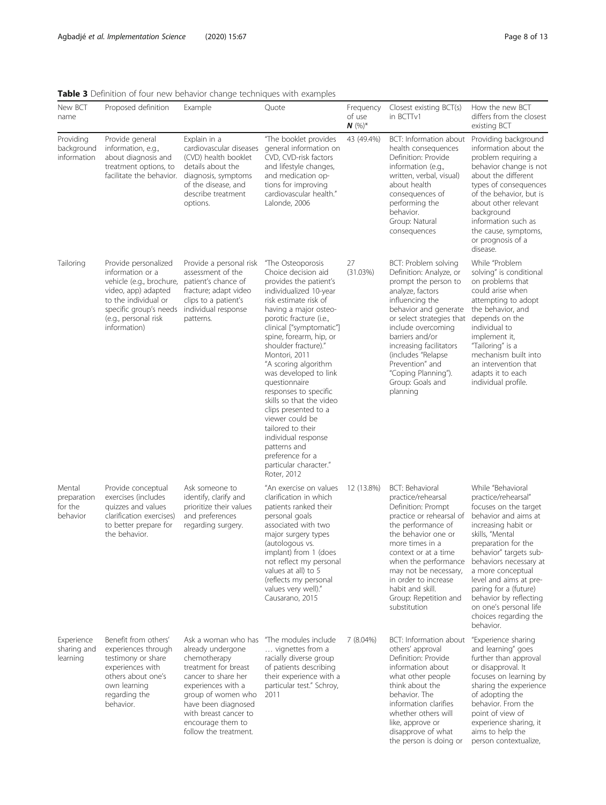## <span id="page-7-0"></span>Table 3 Definition of four new behavior change techniques with examples

|                                              |                                                                                                                                                                                                                               | <b>Rable 3</b> Definition of four fiew behavior change techniques with examples                                                                                                                                                                   |                                                                                                                                                                                                                                                                                                                                                                                                                                                                                                                                                                      |                                 |                                                                                                                                                                                                                                                                                                                                          |                                                                                                                                                                                                                                                                                                                                                                                  |
|----------------------------------------------|-------------------------------------------------------------------------------------------------------------------------------------------------------------------------------------------------------------------------------|---------------------------------------------------------------------------------------------------------------------------------------------------------------------------------------------------------------------------------------------------|----------------------------------------------------------------------------------------------------------------------------------------------------------------------------------------------------------------------------------------------------------------------------------------------------------------------------------------------------------------------------------------------------------------------------------------------------------------------------------------------------------------------------------------------------------------------|---------------------------------|------------------------------------------------------------------------------------------------------------------------------------------------------------------------------------------------------------------------------------------------------------------------------------------------------------------------------------------|----------------------------------------------------------------------------------------------------------------------------------------------------------------------------------------------------------------------------------------------------------------------------------------------------------------------------------------------------------------------------------|
| New BCT<br>name                              | Proposed definition                                                                                                                                                                                                           | Example                                                                                                                                                                                                                                           | Quote                                                                                                                                                                                                                                                                                                                                                                                                                                                                                                                                                                | Frequency<br>of use<br>$N$ (%)* | Closest existing BCT(s)<br>in BCTTv1                                                                                                                                                                                                                                                                                                     | How the new BCT<br>differs from the closest<br>existing BCT                                                                                                                                                                                                                                                                                                                      |
| Providing<br>background<br>information       | Provide general<br>information, e.g.,<br>about diagnosis and<br>treatment options, to<br>facilitate the behavior. diagnosis, symptoms                                                                                         | Explain in a<br>cardiovascular diseases<br>(CVD) health booklet<br>details about the<br>of the disease, and<br>describe treatment<br>options.                                                                                                     | "The booklet provides<br>general information on<br>CVD, CVD-risk factors<br>and lifestyle changes,<br>and medication op-<br>tions for improving<br>cardiovascular health."<br>Lalonde, 2006                                                                                                                                                                                                                                                                                                                                                                          | 43 (49.4%)                      | BCT: Information about<br>health consequences<br>Definition: Provide<br>information (e.g.,<br>written, verbal, visual)<br>about health<br>consequences of<br>performing the<br>behavior.<br>Group: Natural<br>consequences                                                                                                               | Providing background<br>information about the<br>problem requiring a<br>behavior change is not<br>about the different<br>types of consequences<br>of the behavior, but is<br>about other relevant<br>background<br>information such as<br>the cause, symptoms,<br>or prognosis of a<br>disease.                                                                                  |
| Tailoring                                    | Provide personalized<br>information or a<br>vehicle (e.g., brochure, patient's chance of<br>video, app) adapted<br>to the individual or<br>specific group's needs individual response<br>(e.g., personal risk<br>information) | Provide a personal risk<br>assessment of the<br>fracture; adapt video<br>clips to a patient's<br>patterns.                                                                                                                                        | "The Osteoporosis<br>Choice decision aid<br>provides the patient's<br>individualized 10-year<br>risk estimate risk of<br>having a major osteo-<br>porotic fracture (i.e.,<br>clinical ["symptomatic"]<br>spine, forearm, hip, or<br>shoulder fracture)."<br>Montori, 2011<br>"A scoring algorithm<br>was developed to link<br>questionnaire<br>responses to specific<br>skills so that the video<br>clips presented to a<br>viewer could be<br>tailored to their<br>individual response<br>patterns and<br>preference for a<br>particular character."<br>Roter, 2012 | 27<br>(31.03%)                  | BCT: Problem solving<br>Definition: Analyze, or<br>prompt the person to<br>analyze, factors<br>influencing the<br>behavior and generate<br>or select strategies that<br>include overcoming<br>barriers and/or<br>increasing facilitators<br>(includes "Relapse<br>Prevention" and<br>"Coping Planning").<br>Group: Goals and<br>planning | While "Problem<br>solving" is conditional<br>on problems that<br>could arise when<br>attempting to adopt<br>the behavior, and<br>depends on the<br>individual to<br>implement it,<br>"Tailoring" is a<br>mechanism built into<br>an intervention that<br>adapts it to each<br>individual profile.                                                                                |
| Mental<br>preparation<br>for the<br>behavior | Provide conceptual<br>exercises (includes<br>quizzes and values<br>clarification exercises)<br>to better prepare for<br>the behavior.                                                                                         | Ask someone to<br>identify, clarify and<br>prioritize their values<br>and preferences<br>regarding surgery.                                                                                                                                       | "An exercise on values<br>clarification in which<br>patients ranked their<br>personal goals<br>associated with two<br>major surgery types<br>(autologous vs.<br>implant) from 1 (does<br>not reflect my personal<br>values at all) to 5<br>(reflects my personal<br>values very well)."<br>Causarano, 2015                                                                                                                                                                                                                                                           | 12 (13.8%)                      | <b>BCT: Behavioral</b><br>practice/rehearsal<br>Definition: Prompt<br>practice or rehearsal of<br>the performance of<br>the behavior one or<br>more times in a<br>context or at a time<br>when the performance<br>may not be necessary,<br>in order to increase<br>habit and skill.<br>Group: Repetition and<br>substitution             | While "Behavioral<br>practice/rehearsal"<br>focuses on the target<br>behavior and aims at<br>increasing habit or<br>skills, "Mental<br>preparation for the<br>behavior" targets sub-<br>behaviors necessary at<br>a more conceptual<br>level and aims at pre-<br>paring for a (future)<br>behavior by reflecting<br>on one's personal life<br>choices regarding the<br>behavior. |
| Experience<br>sharing and<br>learning        | Benefit from others'<br>experiences through<br>testimony or share<br>experiences with<br>others about one's<br>own learning<br>regarding the<br>behavior.                                                                     | Ask a woman who has<br>already undergone<br>chemotherapy<br>treatment for breast<br>cancer to share her<br>experiences with a<br>group of women who<br>have been diagnosed<br>with breast cancer to<br>encourage them to<br>follow the treatment. | "The modules include"<br>vignettes from a<br>racially diverse group<br>of patients describing<br>their experience with a<br>particular test." Schroy,<br>2011                                                                                                                                                                                                                                                                                                                                                                                                        | 7 (8.04%)                       | BCT: Information about<br>others' approval<br>Definition: Provide<br>information about<br>what other people<br>think about the<br>behavior. The<br>information clarifies<br>whether others will<br>like, approve or<br>disapprove of what<br>the person is doing or                                                                      | "Experience sharing<br>and learning" goes<br>further than approval<br>or disapproval. It<br>focuses on learning by<br>sharing the experience<br>of adopting the<br>behavior. From the<br>point of view of<br>experience sharing, it<br>aims to help the<br>person contextualize,                                                                                                 |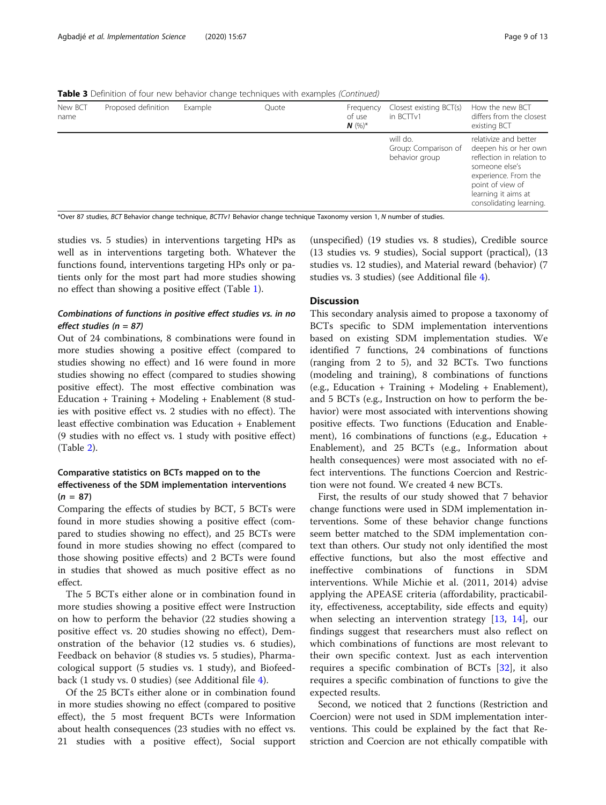Table 3 Definition of four new behavior change techniques with examples (Continued)

| New BCT<br>name | Proposed definition | Example | Quote | Frequency<br>of use<br>$N$ (%) <sup>*</sup> | Closest existing BCT(s)<br>in BCTTv1               | How the new BCT<br>differs from the closest<br>existing BCT                                                                                                                                 |
|-----------------|---------------------|---------|-------|---------------------------------------------|----------------------------------------------------|---------------------------------------------------------------------------------------------------------------------------------------------------------------------------------------------|
|                 |                     |         |       |                                             | will do.<br>Group: Comparison of<br>behavior group | relativize and better<br>deepen his or her own<br>reflection in relation to<br>someone else's<br>experience. From the<br>point of view of<br>learning it aims at<br>consolidating learning. |

\*Over 87 studies, BCT Behavior change technique, BCTTv1 Behavior change technique Taxonomy version 1, N number of studies.

studies vs. 5 studies) in interventions targeting HPs as well as in interventions targeting both. Whatever the functions found, interventions targeting HPs only or patients only for the most part had more studies showing no effect than showing a positive effect (Table [1\)](#page-4-0).

## Combinations of functions in positive effect studies vs. in no effect studies (n = 87)

Out of 24 combinations, 8 combinations were found in more studies showing a positive effect (compared to studies showing no effect) and 16 were found in more studies showing no effect (compared to studies showing positive effect). The most effective combination was Education + Training + Modeling + Enablement (8 studies with positive effect vs. 2 studies with no effect). The least effective combination was Education + Enablement (9 studies with no effect vs. 1 study with positive effect) (Table [2\)](#page-5-0).

## Comparative statistics on BCTs mapped on to the effectiveness of the SDM implementation interventions  $(n = 87)$

Comparing the effects of studies by BCT, 5 BCTs were found in more studies showing a positive effect (compared to studies showing no effect), and 25 BCTs were found in more studies showing no effect (compared to those showing positive effects) and 2 BCTs were found in studies that showed as much positive effect as no effect.

The 5 BCTs either alone or in combination found in more studies showing a positive effect were Instruction on how to perform the behavior (22 studies showing a positive effect vs. 20 studies showing no effect), Demonstration of the behavior (12 studies vs. 6 studies), Feedback on behavior (8 studies vs. 5 studies), Pharmacological support (5 studies vs. 1 study), and Biofeedback (1 study vs. 0 studies) (see Additional file [4\)](#page-11-0).

Of the 25 BCTs either alone or in combination found in more studies showing no effect (compared to positive effect), the 5 most frequent BCTs were Information about health consequences (23 studies with no effect vs. 21 studies with a positive effect), Social support

(unspecified) (19 studies vs. 8 studies), Credible source (13 studies vs. 9 studies), Social support (practical), (13 studies vs. 12 studies), and Material reward (behavior) (7 studies vs. 3 studies) (see Additional file [4](#page-11-0)).

## **Discussion**

This secondary analysis aimed to propose a taxonomy of BCTs specific to SDM implementation interventions based on existing SDM implementation studies. We identified 7 functions, 24 combinations of functions (ranging from 2 to 5), and 32 BCTs. Two functions (modeling and training), 8 combinations of functions (e.g., Education + Training + Modeling + Enablement), and 5 BCTs (e.g., Instruction on how to perform the behavior) were most associated with interventions showing positive effects. Two functions (Education and Enablement), 16 combinations of functions (e.g., Education + Enablement), and 25 BCTs (e.g., Information about health consequences) were most associated with no effect interventions. The functions Coercion and Restriction were not found. We created 4 new BCTs.

First, the results of our study showed that 7 behavior change functions were used in SDM implementation interventions. Some of these behavior change functions seem better matched to the SDM implementation context than others. Our study not only identified the most effective functions, but also the most effective and ineffective combinations of functions in SDM interventions. While Michie et al. (2011, 2014) advise applying the APEASE criteria (affordability, practicability, effectiveness, acceptability, side effects and equity) when selecting an intervention strategy [[13](#page-11-0), [14\]](#page-11-0), our findings suggest that researchers must also reflect on which combinations of functions are most relevant to their own specific context. Just as each intervention requires a specific combination of BCTs [[32\]](#page-12-0), it also requires a specific combination of functions to give the expected results.

Second, we noticed that 2 functions (Restriction and Coercion) were not used in SDM implementation interventions. This could be explained by the fact that Restriction and Coercion are not ethically compatible with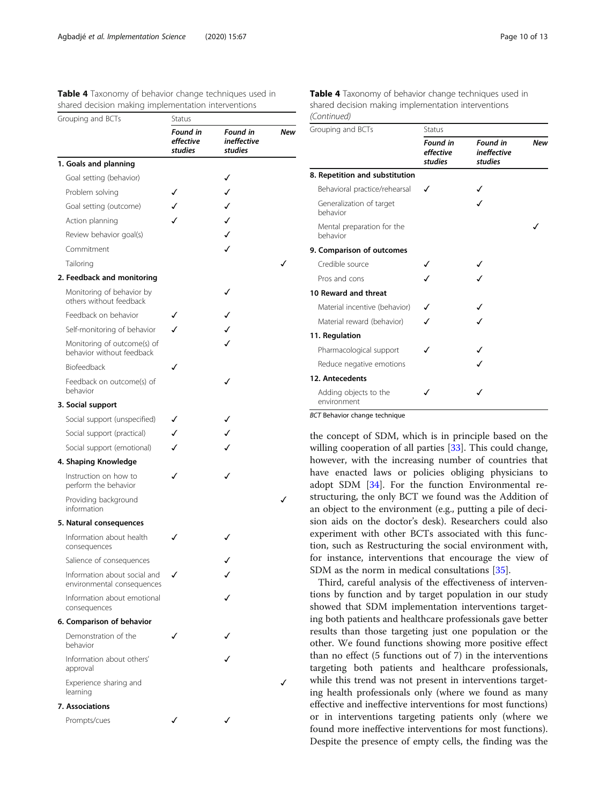<span id="page-9-0"></span>Table 4 Taxonomy of behavior change techniques used in shared decision making implementation interventions

| Grouping and BCTs                                          | Status                           |                                           |     |
|------------------------------------------------------------|----------------------------------|-------------------------------------------|-----|
|                                                            | Found in<br>effective<br>studies | Found in<br><i>ineffective</i><br>studies | New |
| 1. Goals and planning                                      |                                  |                                           |     |
| Goal setting (behavior)                                    |                                  | ✓                                         |     |
| Problem solving                                            |                                  | ✓                                         |     |
| Goal setting (outcome)                                     |                                  | ✓                                         |     |
| Action planning                                            |                                  | J                                         |     |
| Review behavior goal(s)                                    |                                  | ✓                                         |     |
| Commitment                                                 |                                  | ✓                                         |     |
| Tailoring                                                  |                                  |                                           |     |
| 2. Feedback and monitoring                                 |                                  |                                           |     |
| Monitoring of behavior by<br>others without feedback       |                                  |                                           |     |
| Feedback on behavior                                       |                                  |                                           |     |
| Self-monitoring of behavior                                |                                  |                                           |     |
| Monitoring of outcome(s) of<br>behavior without feedback   |                                  |                                           |     |
| Biofeedback                                                |                                  |                                           |     |
| Feedback on outcome(s) of<br>behavior                      |                                  |                                           |     |
| 3. Social support                                          |                                  |                                           |     |
| Social support (unspecified)                               |                                  |                                           |     |
| Social support (practical)                                 |                                  |                                           |     |
| Social support (emotional)                                 |                                  |                                           |     |
| 4. Shaping Knowledge                                       |                                  |                                           |     |
| Instruction on how to<br>perform the behavior              |                                  |                                           |     |
| Providing background<br>information                        |                                  |                                           |     |
| 5. Natural consequences                                    |                                  |                                           |     |
| Information about health<br>consequences                   |                                  |                                           |     |
| Salience of consequences                                   |                                  |                                           |     |
| Information about social and<br>environmental consequences |                                  |                                           |     |
| Information about emotional<br>consequences                |                                  |                                           |     |
| 6. Comparison of behavior                                  |                                  |                                           |     |
| Demonstration of the<br>behavior                           |                                  |                                           |     |
| Information about others'<br>approval                      |                                  |                                           |     |
| Experience sharing and<br>learning                         |                                  |                                           |     |
| 7. Associations                                            |                                  |                                           |     |
| Prompts/cues                                               |                                  |                                           |     |

Table 4 Taxonomy of behavior change techniques used in shared decision making implementation interventions (Continued)

| Grouping and BCTs                      | Status                                  |                                                  |            |
|----------------------------------------|-----------------------------------------|--------------------------------------------------|------------|
|                                        | <b>Found in</b><br>effective<br>studies | <b>Found in</b><br><i>ineffective</i><br>studies | <b>New</b> |
| 8. Repetition and substitution         |                                         |                                                  |            |
| Behavioral practice/rehearsal          |                                         |                                                  |            |
| Generalization of target<br>behavior   |                                         |                                                  |            |
| Mental preparation for the<br>behavior |                                         |                                                  |            |
| 9. Comparison of outcomes              |                                         |                                                  |            |
| Credible source                        |                                         |                                                  |            |
| Pros and cons                          |                                         |                                                  |            |
| 10 Reward and threat                   |                                         |                                                  |            |
| Material incentive (behavior)          |                                         |                                                  |            |
| Material reward (behavior)             |                                         |                                                  |            |
| 11. Regulation                         |                                         |                                                  |            |
| Pharmacological support                |                                         |                                                  |            |
| Reduce negative emotions               |                                         |                                                  |            |
| 12. Antecedents                        |                                         |                                                  |            |
| Adding objects to the<br>environment   |                                         |                                                  |            |

BCT Behavior change technique

the concept of SDM, which is in principle based on the willing cooperation of all parties [\[33\]](#page-12-0). This could change, however, with the increasing number of countries that have enacted laws or policies obliging physicians to adopt SDM [\[34\]](#page-12-0). For the function Environmental restructuring, the only BCT we found was the Addition of an object to the environment (e.g., putting a pile of decision aids on the doctor's desk). Researchers could also experiment with other BCTs associated with this function, such as Restructuring the social environment with, for instance, interventions that encourage the view of SDM as the norm in medical consultations [\[35\]](#page-12-0).

Third, careful analysis of the effectiveness of interventions by function and by target population in our study showed that SDM implementation interventions targeting both patients and healthcare professionals gave better results than those targeting just one population or the other. We found functions showing more positive effect than no effect (5 functions out of 7) in the interventions targeting both patients and healthcare professionals, while this trend was not present in interventions targeting health professionals only (where we found as many effective and ineffective interventions for most functions) or in interventions targeting patients only (where we found more ineffective interventions for most functions). Despite the presence of empty cells, the finding was the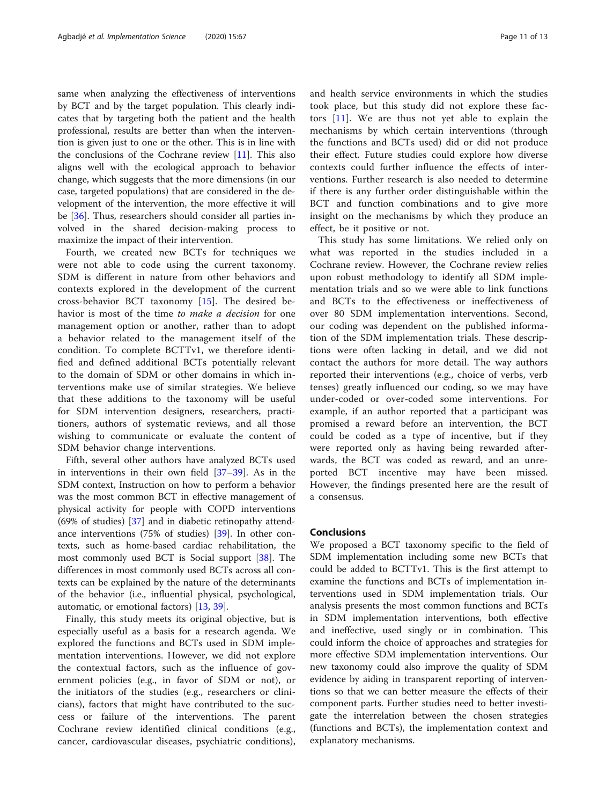same when analyzing the effectiveness of interventions by BCT and by the target population. This clearly indicates that by targeting both the patient and the health professional, results are better than when the intervention is given just to one or the other. This is in line with the conclusions of the Cochrane review  $[11]$  $[11]$ . This also aligns well with the ecological approach to behavior change, which suggests that the more dimensions (in our case, targeted populations) that are considered in the development of the intervention, the more effective it will be [[36\]](#page-12-0). Thus, researchers should consider all parties involved in the shared decision-making process to maximize the impact of their intervention.

Fourth, we created new BCTs for techniques we were not able to code using the current taxonomy. SDM is different in nature from other behaviors and contexts explored in the development of the current cross-behavior BCT taxonomy [\[15](#page-11-0)]. The desired behavior is most of the time to make a decision for one management option or another, rather than to adopt a behavior related to the management itself of the condition. To complete BCTTv1, we therefore identified and defined additional BCTs potentially relevant to the domain of SDM or other domains in which interventions make use of similar strategies. We believe that these additions to the taxonomy will be useful for SDM intervention designers, researchers, practitioners, authors of systematic reviews, and all those wishing to communicate or evaluate the content of SDM behavior change interventions.

Fifth, several other authors have analyzed BCTs used in interventions in their own field [\[37](#page-12-0)–[39\]](#page-12-0). As in the SDM context, Instruction on how to perform a behavior was the most common BCT in effective management of physical activity for people with COPD interventions (69% of studies) [\[37](#page-12-0)] and in diabetic retinopathy attendance interventions (75% of studies) [\[39](#page-12-0)]. In other contexts, such as home-based cardiac rehabilitation, the most commonly used BCT is Social support [[38](#page-12-0)]. The differences in most commonly used BCTs across all contexts can be explained by the nature of the determinants of the behavior (i.e., influential physical, psychological, automatic, or emotional factors) [[13,](#page-11-0) [39](#page-12-0)].

Finally, this study meets its original objective, but is especially useful as a basis for a research agenda. We explored the functions and BCTs used in SDM implementation interventions. However, we did not explore the contextual factors, such as the influence of government policies (e.g., in favor of SDM or not), or the initiators of the studies (e.g., researchers or clinicians), factors that might have contributed to the success or failure of the interventions. The parent Cochrane review identified clinical conditions (e.g., cancer, cardiovascular diseases, psychiatric conditions), and health service environments in which the studies took place, but this study did not explore these factors [[11](#page-11-0)]. We are thus not yet able to explain the mechanisms by which certain interventions (through the functions and BCTs used) did or did not produce their effect. Future studies could explore how diverse contexts could further influence the effects of interventions. Further research is also needed to determine if there is any further order distinguishable within the BCT and function combinations and to give more insight on the mechanisms by which they produce an effect, be it positive or not.

This study has some limitations. We relied only on what was reported in the studies included in a Cochrane review. However, the Cochrane review relies upon robust methodology to identify all SDM implementation trials and so we were able to link functions and BCTs to the effectiveness or ineffectiveness of over 80 SDM implementation interventions. Second, our coding was dependent on the published information of the SDM implementation trials. These descriptions were often lacking in detail, and we did not contact the authors for more detail. The way authors reported their interventions (e.g., choice of verbs, verb tenses) greatly influenced our coding, so we may have under-coded or over-coded some interventions. For example, if an author reported that a participant was promised a reward before an intervention, the BCT could be coded as a type of incentive, but if they were reported only as having being rewarded afterwards, the BCT was coded as reward, and an unreported BCT incentive may have been missed. However, the findings presented here are the result of a consensus.

### Conclusions

We proposed a BCT taxonomy specific to the field of SDM implementation including some new BCTs that could be added to BCTTv1. This is the first attempt to examine the functions and BCTs of implementation interventions used in SDM implementation trials. Our analysis presents the most common functions and BCTs in SDM implementation interventions, both effective and ineffective, used singly or in combination. This could inform the choice of approaches and strategies for more effective SDM implementation interventions. Our new taxonomy could also improve the quality of SDM evidence by aiding in transparent reporting of interventions so that we can better measure the effects of their component parts. Further studies need to better investigate the interrelation between the chosen strategies (functions and BCTs), the implementation context and explanatory mechanisms.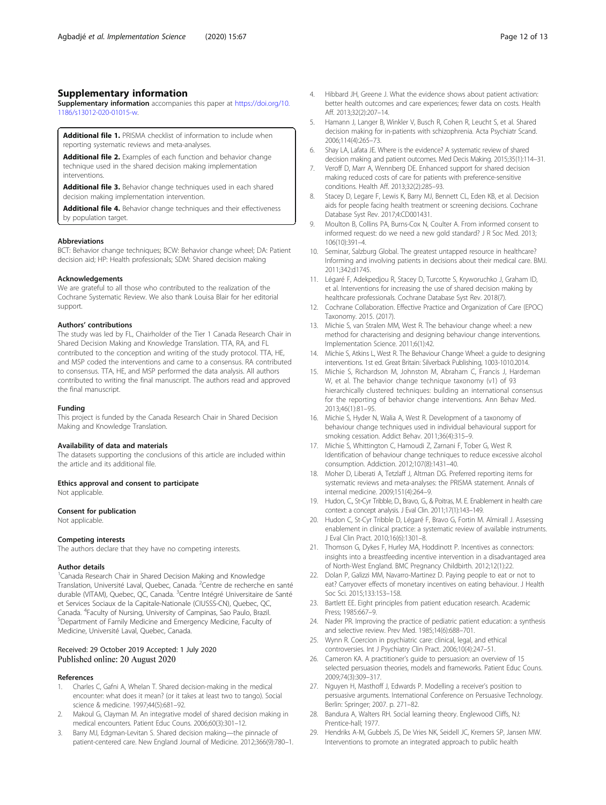## <span id="page-11-0"></span>Supplementary information

Supplementary information accompanies this paper at [https://doi.org/10.](https://doi.org/10.1186/s13012-020-01015-w) [1186/s13012-020-01015-w](https://doi.org/10.1186/s13012-020-01015-w).

Additional file 1. PRISMA checklist of information to include when reporting systematic reviews and meta-analyses.

Additional file 2. Examples of each function and behavior change technique used in the shared decision making implementation interventions.

Additional file 3. Behavior change techniques used in each shared decision making implementation intervention.

Additional file 4. Behavior change techniques and their effectiveness by population target.

#### Abbreviations

BCT: Behavior change techniques; BCW: Behavior change wheel; DA: Patient decision aid; HP: Health professionals; SDM: Shared decision making

#### Acknowledgements

We are grateful to all those who contributed to the realization of the Cochrane Systematic Review. We also thank Louisa Blair for her editorial support.

#### Authors' contributions

The study was led by FL, Chairholder of the Tier 1 Canada Research Chair in Shared Decision Making and Knowledge Translation. TTA, RA, and FL contributed to the conception and writing of the study protocol. TTA, HE, and MSP coded the interventions and came to a consensus. RA contributed to consensus. TTA, HE, and MSP performed the data analysis. All authors contributed to writing the final manuscript. The authors read and approved the final manuscript.

#### Funding

This project is funded by the Canada Research Chair in Shared Decision Making and Knowledge Translation.

#### Availability of data and materials

The datasets supporting the conclusions of this article are included within the article and its additional file.

#### Ethics approval and consent to participate

Not applicable.

#### Consent for publication

Not applicable.

#### Competing interests

The authors declare that they have no competing interests.

#### Author details

<sup>1</sup> Canada Research Chair in Shared Decision Making and Knowledge Translation, Université Laval, Quebec, Canada. <sup>2</sup>Centre de recherche en santé durable (VITAM), Quebec, QC, Canada. <sup>3</sup>Centre Intégré Universitaire de Santé et Services Sociaux de la Capitale-Nationale (CIUSSS-CN), Quebec, QC, Canada. <sup>4</sup> Faculty of Nursing, University of Campinas, Sao Paulo, Brazil.<br><sup>5</sup> Dopartment of Family Modicine and Emergancy Medicine. Faculty of Department of Family Medicine and Emergency Medicine, Faculty of Medicine, Université Laval, Quebec, Canada.

#### Received: 29 October 2019 Accepted: 1 July 2020 Published online: 20 August 2020

#### References

- 1. Charles C, Gafni A, Whelan T. Shared decision-making in the medical encounter: what does it mean? (or it takes at least two to tango). Social science & medicine. 1997;44(5):681–92.
- 2. Makoul G, Clayman M. An integrative model of shared decision making in medical encounters. Patient Educ Couns. 2006;60(3):301–12.
- Barry MJ, Edgman-Levitan S. Shared decision making—the pinnacle of patient-centered care. New England Journal of Medicine. 2012;366(9):780–1.
- 4. Hibbard JH, Greene J. What the evidence shows about patient activation: better health outcomes and care experiences; fewer data on costs. Health Aff. 2013;32(2):207–14.
- 5. Hamann J, Langer B, Winkler V, Busch R, Cohen R, Leucht S, et al. Shared decision making for in-patients with schizophrenia. Acta Psychiatr Scand. 2006;114(4):265–73.
- 6. Shay LA, Lafata JE. Where is the evidence? A systematic review of shared decision making and patient outcomes. Med Decis Making. 2015;35(1):114–31.
- 7. Veroff D, Marr A, Wennberg DE. Enhanced support for shared decision making reduced costs of care for patients with preference-sensitive conditions. Health Aff. 2013;32(2):285–93.
- 8. Stacey D, Legare F, Lewis K, Barry MJ, Bennett CL, Eden KB, et al. Decision aids for people facing health treatment or screening decisions. Cochrane Database Syst Rev. 2017;4:CD001431.
- 9. Moulton B, Collins PA, Burns-Cox N, Coulter A. From informed consent to informed request: do we need a new gold standard? J R Soc Med. 2013; 106(10):391–4.
- 10. Seminar, Salzburg Global. The greatest untapped resource in healthcare? Informing and involving patients in decisions about their medical care. BMJ. 2011;342:d1745.
- 11. Légaré F, Adekpedjou R, Stacey D, Turcotte S, Kryworuchko J, Graham ID, et al. Interventions for increasing the use of shared decision making by healthcare professionals. Cochrane Database Syst Rev. 2018(7).
- 12. Cochrane Collaboration. Effective Practice and Organization of Care (EPOC) Taxonomy. 2015. (2017).
- 13. Michie S, van Stralen MM, West R. The behaviour change wheel: a new method for characterising and designing behaviour change interventions. Implementation Science. 2011;6(1):42.
- 14. Michie S, Atkins L, West R. The Behaviour Change Wheel: a guide to designing interventions. 1st ed. Great Britain: Silverback Publishing, 1003-1010.2014.
- 15. Michie S, Richardson M, Johnston M, Abraham C, Francis J, Hardeman W, et al. The behavior change technique taxonomy (v1) of 93 hierarchically clustered techniques: building an international consensus for the reporting of behavior change interventions. Ann Behav Med. 2013;46(1):81–95.
- 16. Michie S, Hyder N, Walia A, West R. Development of a taxonomy of behaviour change techniques used in individual behavioural support for smoking cessation. Addict Behav. 2011;36(4):315–9.
- 17. Michie S, Whittington C, Hamoudi Z, Zarnani F, Tober G, West R. Identification of behaviour change techniques to reduce excessive alcohol consumption. Addiction. 2012;107(8):1431–40.
- 18. Moher D, Liberati A, Tetzlaff J, Altman DG. Preferred reporting items for systematic reviews and meta-analyses: the PRISMA statement. Annals of internal medicine. 2009;151(4):264–9.
- 19. Hudon, C., St-Cyr Tribble, D., Bravo, G., & Poitras, M. E. Enablement in health care context: a concept analysis. J Eval Clin. 2011;17(1):143–149.
- 20. Hudon C, St-Cyr Tribble D, Légaré F, Bravo G, Fortin M. Almirall J. Assessing enablement in clinical practice: a systematic review of available instruments. J Eval Clin Pract. 2010;16(6):1301–8.
- 21. Thomson G, Dykes F, Hurley MA, Hoddinott P. Incentives as connectors: insights into a breastfeeding incentive intervention in a disadvantaged area of North-West England. BMC Pregnancy Childbirth. 2012;12(1):22.
- 22. Dolan P, Galizzi MM, Navarro-Martinez D. Paying people to eat or not to eat? Carryover effects of monetary incentives on eating behaviour. J Health Soc Sci. 2015;133:153–158.
- 23. Bartlett EE. Eight principles from patient education research. Academic Press; 1985:667–9.
- 24. Nader PR. Improving the practice of pediatric patient education: a synthesis and selective review. Prev Med. 1985;14(6):688–701.
- 25. Wynn R. Coercion in psychiatric care: clinical, legal, and ethical controversies. Int J Psychiatry Clin Pract. 2006;10(4):247–51.
- 26. Cameron KA. A practitioner's guide to persuasion: an overview of 15 selected persuasion theories, models and frameworks. Patient Educ Couns. 2009;74(3):309–317.
- 27. Nguyen H, Masthoff J, Edwards P. Modelling a receiver's position to persuasive arguments. International Conference on Persuasive Technology. Berlin: Springer; 2007. p. 271–82.
- 28. Bandura A, Walters RH. Social learning theory. Englewood Cliffs, NJ: Prentice-hall; 1977.
- 29. Hendriks A-M, Gubbels JS, De Vries NK, Seidell JC, Kremers SP, Jansen MW. Interventions to promote an integrated approach to public health